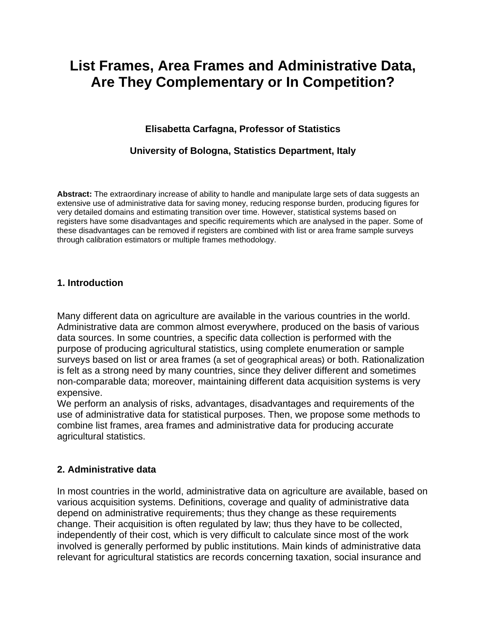# **List Frames, Area Frames and Administrative Data, Are They Complementary or In Competition?**

# **Elisabetta Carfagna, Professor of Statistics**

# **University of Bologna, Statistics Department, Italy**

**Abstract:** The extraordinary increase of ability to handle and manipulate large sets of data suggests an extensive use of administrative data for saving money, reducing response burden, producing figures for very detailed domains and estimating transition over time. However, statistical systems based on registers have some disadvantages and specific requirements which are analysed in the paper. Some of these disadvantages can be removed if registers are combined with list or area frame sample surveys through calibration estimators or multiple frames methodology.

#### **1. Introduction**

Many different data on agriculture are available in the various countries in the world. Administrative data are common almost everywhere, produced on the basis of various data sources. In some countries, a specific data collection is performed with the purpose of producing agricultural statistics, using complete enumeration or sample surveys based on list or area frames (a set of geographical areas) or both. Rationalization is felt as a strong need by many countries, since they deliver different and sometimes non-comparable data; moreover, maintaining different data acquisition systems is very expensive.

We perform an analysis of risks, advantages, disadvantages and requirements of the use of administrative data for statistical purposes. Then, we propose some methods to combine list frames, area frames and administrative data for producing accurate agricultural statistics.

#### **2. Administrative data**

In most countries in the world, administrative data on agriculture are available, based on various acquisition systems. Definitions, coverage and quality of administrative data depend on administrative requirements; thus they change as these requirements change. Their acquisition is often regulated by law; thus they have to be collected, independently of their cost, which is very difficult to calculate since most of the work involved is generally performed by public institutions. Main kinds of administrative data relevant for agricultural statistics are records concerning taxation, social insurance and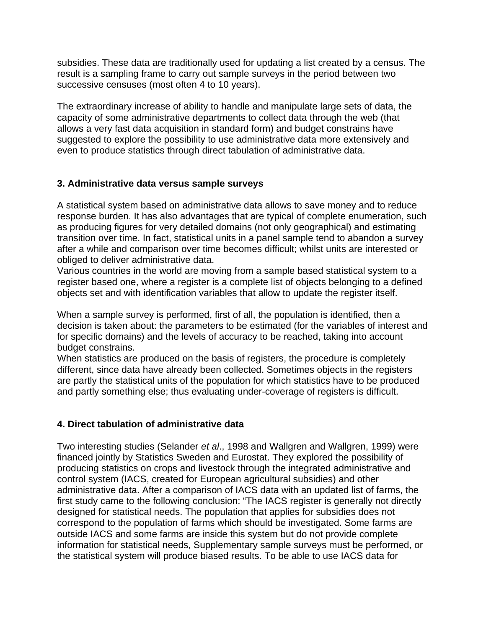subsidies. These data are traditionally used for updating a list created by a census. The result is a sampling frame to carry out sample surveys in the period between two successive censuses (most often 4 to 10 years).

The extraordinary increase of ability to handle and manipulate large sets of data, the capacity of some administrative departments to collect data through the web (that allows a very fast data acquisition in standard form) and budget constrains have suggested to explore the possibility to use administrative data more extensively and even to produce statistics through direct tabulation of administrative data.

## **3. Administrative data versus sample surveys**

A statistical system based on administrative data allows to save money and to reduce response burden. It has also advantages that are typical of complete enumeration, such as producing figures for very detailed domains (not only geographical) and estimating transition over time. In fact, statistical units in a panel sample tend to abandon a survey after a while and comparison over time becomes difficult; whilst units are interested or obliged to deliver administrative data.

Various countries in the world are moving from a sample based statistical system to a register based one, where a register is a complete list of objects belonging to a defined objects set and with identification variables that allow to update the register itself.

When a sample survey is performed, first of all, the population is identified, then a decision is taken about: the parameters to be estimated (for the variables of interest and for specific domains) and the levels of accuracy to be reached, taking into account budget constrains.

When statistics are produced on the basis of registers, the procedure is completely different, since data have already been collected. Sometimes objects in the registers are partly the statistical units of the population for which statistics have to be produced and partly something else; thus evaluating under-coverage of registers is difficult.

# **4. Direct tabulation of administrative data**

Two interesting studies (Selander *et al*., 1998 and Wallgren and Wallgren, 1999) were financed jointly by Statistics Sweden and Eurostat. They explored the possibility of producing statistics on crops and livestock through the integrated administrative and control system (IACS, created for European agricultural subsidies) and other administrative data. After a comparison of IACS data with an updated list of farms, the first study came to the following conclusion: "The IACS register is generally not directly designed for statistical needs. The population that applies for subsidies does not correspond to the population of farms which should be investigated. Some farms are outside IACS and some farms are inside this system but do not provide complete information for statistical needs, Supplementary sample surveys must be performed, or the statistical system will produce biased results. To be able to use IACS data for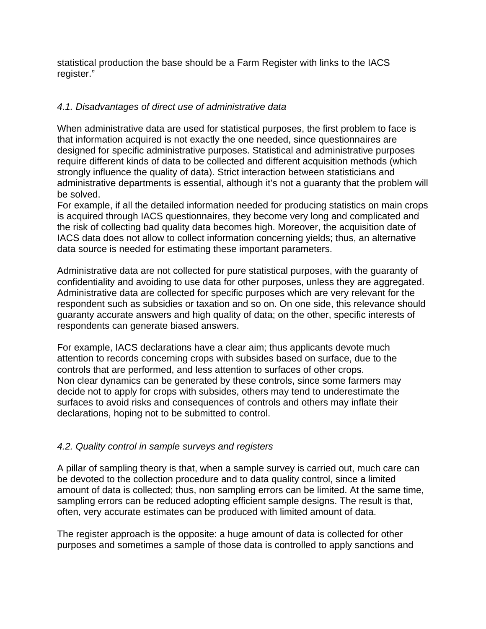statistical production the base should be a Farm Register with links to the IACS register."

## *4.1. Disadvantages of direct use of administrative data*

When administrative data are used for statistical purposes, the first problem to face is that information acquired is not exactly the one needed, since questionnaires are designed for specific administrative purposes. Statistical and administrative purposes require different kinds of data to be collected and different acquisition methods (which strongly influence the quality of data). Strict interaction between statisticians and administrative departments is essential, although it's not a guaranty that the problem will be solved.

For example, if all the detailed information needed for producing statistics on main crops is acquired through IACS questionnaires, they become very long and complicated and the risk of collecting bad quality data becomes high. Moreover, the acquisition date of IACS data does not allow to collect information concerning yields; thus, an alternative data source is needed for estimating these important parameters.

Administrative data are not collected for pure statistical purposes, with the guaranty of confidentiality and avoiding to use data for other purposes, unless they are aggregated. Administrative data are collected for specific purposes which are very relevant for the respondent such as subsidies or taxation and so on. On one side, this relevance should guaranty accurate answers and high quality of data; on the other, specific interests of respondents can generate biased answers.

For example, IACS declarations have a clear aim; thus applicants devote much attention to records concerning crops with subsides based on surface, due to the controls that are performed, and less attention to surfaces of other crops. Non clear dynamics can be generated by these controls, since some farmers may decide not to apply for crops with subsides, others may tend to underestimate the surfaces to avoid risks and consequences of controls and others may inflate their declarations, hoping not to be submitted to control.

#### *4.2. Quality control in sample surveys and registers*

A pillar of sampling theory is that, when a sample survey is carried out, much care can be devoted to the collection procedure and to data quality control, since a limited amount of data is collected; thus, non sampling errors can be limited. At the same time, sampling errors can be reduced adopting efficient sample designs. The result is that, often, very accurate estimates can be produced with limited amount of data.

The register approach is the opposite: a huge amount of data is collected for other purposes and sometimes a sample of those data is controlled to apply sanctions and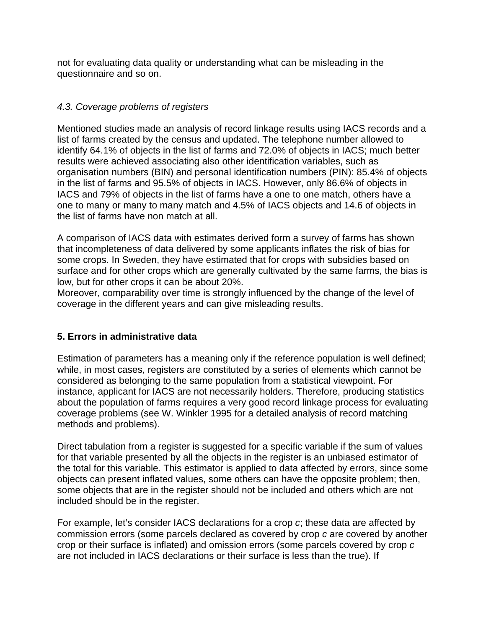not for evaluating data quality or understanding what can be misleading in the questionnaire and so on.

## *4.3. Coverage problems of registers*

Mentioned studies made an analysis of record linkage results using IACS records and a list of farms created by the census and updated. The telephone number allowed to identify 64.1% of objects in the list of farms and 72.0% of objects in IACS; much better results were achieved associating also other identification variables, such as organisation numbers (BIN) and personal identification numbers (PIN): 85.4% of objects in the list of farms and 95.5% of objects in IACS. However, only 86.6% of objects in IACS and 79% of objects in the list of farms have a one to one match, others have a one to many or many to many match and 4.5% of IACS objects and 14.6 of objects in the list of farms have non match at all.

A comparison of IACS data with estimates derived form a survey of farms has shown that incompleteness of data delivered by some applicants inflates the risk of bias for some crops. In Sweden, they have estimated that for crops with subsidies based on surface and for other crops which are generally cultivated by the same farms, the bias is low, but for other crops it can be about 20%.

Moreover, comparability over time is strongly influenced by the change of the level of coverage in the different years and can give misleading results.

# **5. Errors in administrative data**

Estimation of parameters has a meaning only if the reference population is well defined; while, in most cases, registers are constituted by a series of elements which cannot be considered as belonging to the same population from a statistical viewpoint. For instance, applicant for IACS are not necessarily holders. Therefore, producing statistics about the population of farms requires a very good record linkage process for evaluating coverage problems (see W. Winkler 1995 for a detailed analysis of record matching methods and problems).

Direct tabulation from a register is suggested for a specific variable if the sum of values for that variable presented by all the objects in the register is an unbiased estimator of the total for this variable. This estimator is applied to data affected by errors, since some objects can present inflated values, some others can have the opposite problem; then, some objects that are in the register should not be included and others which are not included should be in the register.

For example, let's consider IACS declarations for a crop *c*; these data are affected by commission errors (some parcels declared as covered by crop *c* are covered by another crop or their surface is inflated) and omission errors (some parcels covered by crop *c* are not included in IACS declarations or their surface is less than the true). If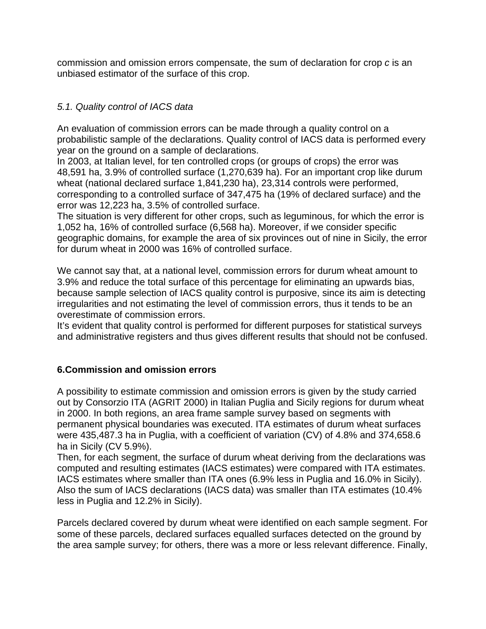commission and omission errors compensate, the sum of declaration for crop *c* is an unbiased estimator of the surface of this crop.

# *5.1. Quality control of IACS data*

An evaluation of commission errors can be made through a quality control on a probabilistic sample of the declarations. Quality control of IACS data is performed every year on the ground on a sample of declarations.

In 2003, at Italian level, for ten controlled crops (or groups of crops) the error was 48,591 ha, 3.9% of controlled surface (1,270,639 ha). For an important crop like durum wheat (national declared surface 1,841,230 ha), 23,314 controls were performed, corresponding to a controlled surface of 347,475 ha (19% of declared surface) and the error was 12,223 ha, 3.5% of controlled surface.

The situation is very different for other crops, such as leguminous, for which the error is 1,052 ha, 16% of controlled surface (6,568 ha). Moreover, if we consider specific geographic domains, for example the area of six provinces out of nine in Sicily, the error for durum wheat in 2000 was 16% of controlled surface.

We cannot say that, at a national level, commission errors for durum wheat amount to 3.9% and reduce the total surface of this percentage for eliminating an upwards bias, because sample selection of IACS quality control is purposive, since its aim is detecting irregularities and not estimating the level of commission errors, thus it tends to be an overestimate of commission errors.

It's evident that quality control is performed for different purposes for statistical surveys and administrative registers and thus gives different results that should not be confused.

# **6.Commission and omission errors**

A possibility to estimate commission and omission errors is given by the study carried out by Consorzio ITA (AGRIT 2000) in Italian Puglia and Sicily regions for durum wheat in 2000. In both regions, an area frame sample survey based on segments with permanent physical boundaries was executed. ITA estimates of durum wheat surfaces were 435,487.3 ha in Puglia, with a coefficient of variation (CV) of 4.8% and 374,658.6 ha in Sicily (CV 5.9%).

Then, for each segment, the surface of durum wheat deriving from the declarations was computed and resulting estimates (IACS estimates) were compared with ITA estimates. IACS estimates where smaller than ITA ones (6.9% less in Puglia and 16.0% in Sicily). Also the sum of IACS declarations (IACS data) was smaller than ITA estimates (10.4% less in Puglia and 12.2% in Sicily).

Parcels declared covered by durum wheat were identified on each sample segment. For some of these parcels, declared surfaces equalled surfaces detected on the ground by the area sample survey; for others, there was a more or less relevant difference. Finally,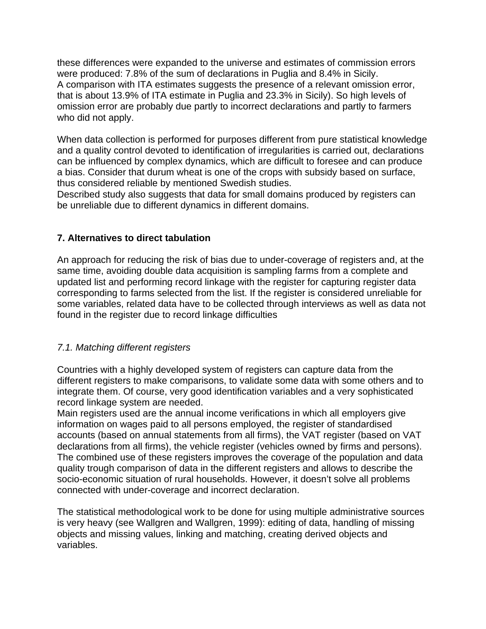these differences were expanded to the universe and estimates of commission errors were produced: 7.8% of the sum of declarations in Puglia and 8.4% in Sicily. A comparison with ITA estimates suggests the presence of a relevant omission error, that is about 13.9% of ITA estimate in Puglia and 23.3% in Sicily). So high levels of omission error are probably due partly to incorrect declarations and partly to farmers who did not apply.

When data collection is performed for purposes different from pure statistical knowledge and a quality control devoted to identification of irregularities is carried out, declarations can be influenced by complex dynamics, which are difficult to foresee and can produce a bias. Consider that durum wheat is one of the crops with subsidy based on surface, thus considered reliable by mentioned Swedish studies.

Described study also suggests that data for small domains produced by registers can be unreliable due to different dynamics in different domains.

# **7. Alternatives to direct tabulation**

An approach for reducing the risk of bias due to under-coverage of registers and, at the same time, avoiding double data acquisition is sampling farms from a complete and updated list and performing record linkage with the register for capturing register data corresponding to farms selected from the list. If the register is considered unreliable for some variables, related data have to be collected through interviews as well as data not found in the register due to record linkage difficulties

#### *7.1. Matching different registers*

Countries with a highly developed system of registers can capture data from the different registers to make comparisons, to validate some data with some others and to integrate them. Of course, very good identification variables and a very sophisticated record linkage system are needed.

Main registers used are the annual income verifications in which all employers give information on wages paid to all persons employed, the register of standardised accounts (based on annual statements from all firms), the VAT register (based on VAT declarations from all firms), the vehicle register (vehicles owned by firms and persons). The combined use of these registers improves the coverage of the population and data quality trough comparison of data in the different registers and allows to describe the socio-economic situation of rural households. However, it doesn't solve all problems connected with under-coverage and incorrect declaration.

The statistical methodological work to be done for using multiple administrative sources is very heavy (see Wallgren and Wallgren, 1999): editing of data, handling of missing objects and missing values, linking and matching, creating derived objects and variables.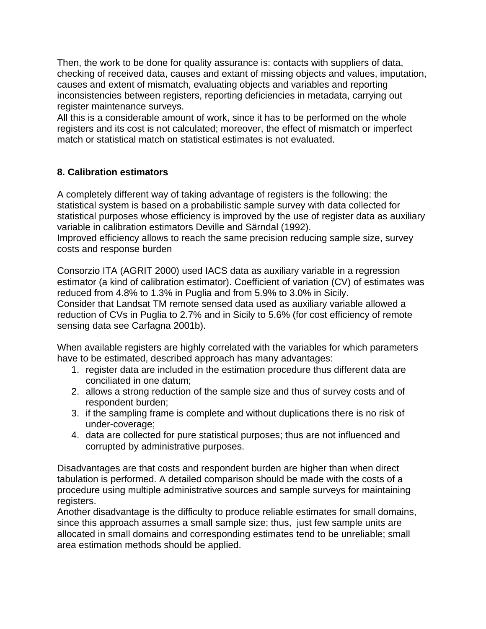Then, the work to be done for quality assurance is: contacts with suppliers of data, checking of received data, causes and extant of missing objects and values, imputation, causes and extent of mismatch, evaluating objects and variables and reporting inconsistencies between registers, reporting deficiencies in metadata, carrying out register maintenance surveys.

All this is a considerable amount of work, since it has to be performed on the whole registers and its cost is not calculated; moreover, the effect of mismatch or imperfect match or statistical match on statistical estimates is not evaluated.

# **8. Calibration estimators**

A completely different way of taking advantage of registers is the following: the statistical system is based on a probabilistic sample survey with data collected for statistical purposes whose efficiency is improved by the use of register data as auxiliary variable in calibration estimators Deville and Särndal (1992).

Improved efficiency allows to reach the same precision reducing sample size, survey costs and response burden

Consorzio ITA (AGRIT 2000) used IACS data as auxiliary variable in a regression estimator (a kind of calibration estimator). Coefficient of variation (CV) of estimates was reduced from 4.8% to 1.3% in Puglia and from 5.9% to 3.0% in Sicily. Consider that Landsat TM remote sensed data used as auxiliary variable allowed a reduction of CVs in Puglia to 2.7% and in Sicily to 5.6% (for cost efficiency of remote sensing data see Carfagna 2001b).

When available registers are highly correlated with the variables for which parameters have to be estimated, described approach has many advantages:

- 1. register data are included in the estimation procedure thus different data are conciliated in one datum;
- 2. allows a strong reduction of the sample size and thus of survey costs and of respondent burden;
- 3. if the sampling frame is complete and without duplications there is no risk of under-coverage;
- 4. data are collected for pure statistical purposes; thus are not influenced and corrupted by administrative purposes.

Disadvantages are that costs and respondent burden are higher than when direct tabulation is performed. A detailed comparison should be made with the costs of a procedure using multiple administrative sources and sample surveys for maintaining registers.

Another disadvantage is the difficulty to produce reliable estimates for small domains, since this approach assumes a small sample size; thus, just few sample units are allocated in small domains and corresponding estimates tend to be unreliable; small area estimation methods should be applied.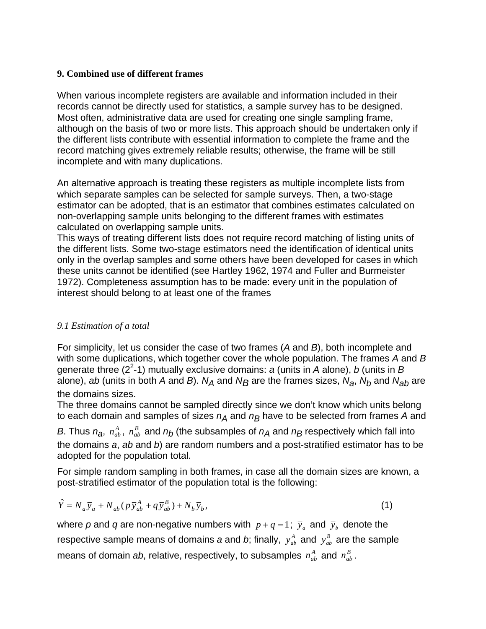#### **9. Combined use of different frames**

When various incomplete registers are available and information included in their records cannot be directly used for statistics, a sample survey has to be designed. Most often, administrative data are used for creating one single sampling frame, although on the basis of two or more lists. This approach should be undertaken only if the different lists contribute with essential information to complete the frame and the record matching gives extremely reliable results; otherwise, the frame will be still incomplete and with many duplications.

An alternative approach is treating these registers as multiple incomplete lists from which separate samples can be selected for sample surveys. Then, a two-stage estimator can be adopted, that is an estimator that combines estimates calculated on non-overlapping sample units belonging to the different frames with estimates calculated on overlapping sample units.

This ways of treating different lists does not require record matching of listing units of the different lists. Some two-stage estimators need the identification of identical units only in the overlap samples and some others have been developed for cases in which these units cannot be identified (see Hartley 1962, 1974 and Fuller and Burmeister 1972). Completeness assumption has to be made: every unit in the population of interest should belong to at least one of the frames

# *9.1 Estimation of a total*

For simplicity, let us consider the case of two frames (*A* and *B*), both incomplete and with some duplications, which together cover the whole population. The frames *A* and *B* generate three (22 -1) mutually exclusive domains: *a* (units in *A* alone), *b* (units in *B* alone), *ab* (units in both *A* and *B*).  $N_A$  and  $N_B$  are the frames sizes,  $N_A$ ,  $N_b$  and  $N_{ab}$  are the domains sizes.

The three domains cannot be sampled directly since we don't know which units belong to each domain and samples of sizes  $n_A$  and  $n_B$  have to be selected from frames A and

*B*. Thus  $n_{a}$ ,  $n_{ab}^A$ ,  $n_{ab}^B$  and  $n_b$  (the subsamples of  $n_A$  and  $n_B$  respectively which fall into the domains *a*, *ab* and *b*) are random numbers and a post-stratified estimator has to be adopted for the population total.

For simple random sampling in both frames, in case all the domain sizes are known, a post-stratified estimator of the population total is the following:

$$
\hat{Y} = N_a \overline{y}_a + N_{ab} (p \overline{y}_{ab}^A + q \overline{y}_{ab}^B) + N_b \overline{y}_b, \qquad (1)
$$

where p and q are non-negative numbers with  $p + q = 1$ ;  $\bar{y}_q$  and  $\bar{y}_b$  denote the respective sample means of domains *a* and *b*; finally,  $\bar{y}_{ab}^A$  and  $\bar{y}_{ab}^B$  are the sample means of domain *ab*, relative, respectively, to subsamples  $n_{ab}^A$  and  $n_{ab}^B$ .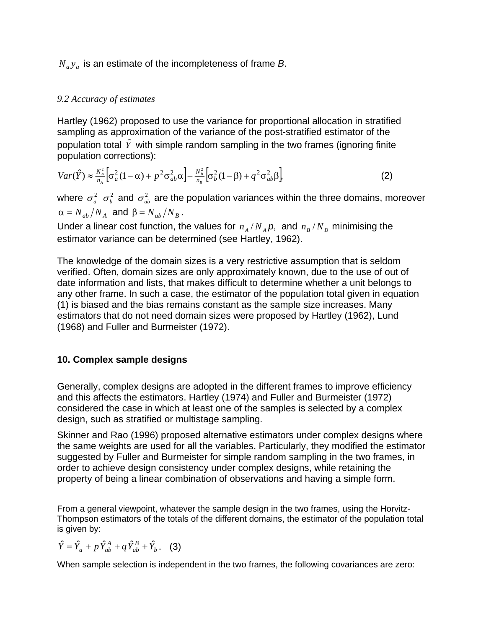## $N_a \bar{y}_a$  is an estimate of the incompleteness of frame *B*.

#### *9.2 Accuracy of estimates*

Hartley (1962) proposed to use the variance for proportional allocation in stratified sampling as approximation of the variance of the post-stratified estimator of the population total  $\hat{Y}$  with simple random sampling in the two frames (ignoring finite population corrections):

$$
Var(\hat{Y}) \approx \frac{N_A^2}{n_A} \Big[ \sigma_a^2 (1 - \alpha) + p^2 \sigma_{ab}^2 \alpha \Big] + \frac{N_B^2}{n_B} \Big[ \sigma_b^2 (1 - \beta) + q^2 \sigma_{ab}^2 \beta \Big],
$$
 (2)

where  $\sigma_a^2$   $\sigma_b^2$  and  $\sigma_{ab}^2$  are the population variances within the three domains, moreover  $\alpha = N_{ab}/N_A$  and  $\beta = N_{ab}/N_B$ .

Under a linear cost function, the values for  $n_A/N_A p$ , and  $n_B/N_B$  minimising the estimator variance can be determined (see Hartley, 1962).

The knowledge of the domain sizes is a very restrictive assumption that is seldom verified. Often, domain sizes are only approximately known, due to the use of out of date information and lists, that makes difficult to determine whether a unit belongs to any other frame. In such a case, the estimator of the population total given in equation (1) is biased and the bias remains constant as the sample size increases. Many estimators that do not need domain sizes were proposed by Hartley (1962), Lund (1968) and Fuller and Burmeister (1972).

#### **10. Complex sample designs**

Generally, complex designs are adopted in the different frames to improve efficiency and this affects the estimators. Hartley (1974) and Fuller and Burmeister (1972) considered the case in which at least one of the samples is selected by a complex design, such as stratified or multistage sampling.

Skinner and Rao (1996) proposed alternative estimators under complex designs where the same weights are used for all the variables. Particularly, they modified the estimator suggested by Fuller and Burmeister for simple random sampling in the two frames, in order to achieve design consistency under complex designs, while retaining the property of being a linear combination of observations and having a simple form.

From a general viewpoint, whatever the sample design in the two frames, using the Horvitz-Thompson estimators of the totals of the different domains, the estimator of the population total is given by:

*b B*  $\hat{Y} = \hat{Y}_a + p\,\hat{Y}_{ab}^A + q\,\hat{Y}_{ab}^B + \hat{Y}_b$ . (3)

When sample selection is independent in the two frames, the following covariances are zero: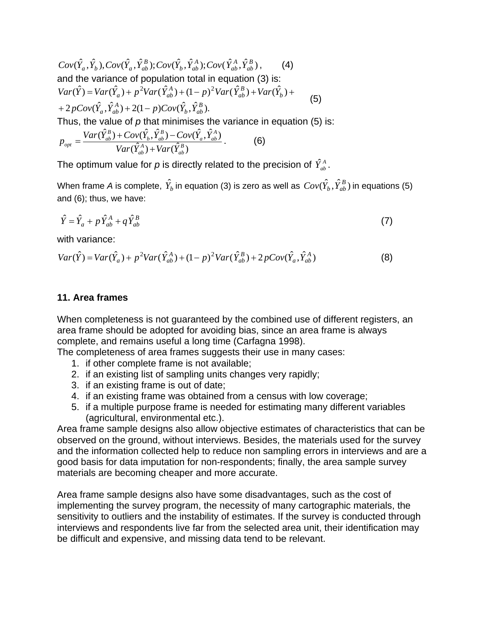$$
Cov(\hat{Y}_a, \hat{Y}_b), Cov(\hat{Y}_a, \hat{Y}_{ab}^B); Cov(\hat{Y}_b, \hat{Y}_{ab}^A); Cov(\hat{Y}_{ab}^A, \hat{Y}_{ab}^B),
$$
 (4)  
and the variance of population total in equation (3) is:  

$$
Var(\hat{Y}) = Var(\hat{Y}_a) + p^2Var(\hat{Y}_{ab}^A) + (1-p)^2Var(\hat{Y}_{ab}^B) + Var(\hat{Y}_b) +
$$

$$
+ 2pCov(\hat{Y}_a, \hat{Y}_{ab}^A) + 2(1-p)Cov(\hat{Y}_b, \hat{Y}_{ab}^B).
$$
Thus, the value of *p* that minimises the variance in equation (5) is:

$$
p_{opt} = \frac{Var(\hat{Y}_{ab}^{B}) + Cov(\hat{Y}_{b}, \hat{Y}_{ab}^{B}) - Cov(\hat{Y}_{a}, \hat{Y}_{ab}^{A})}{Var(\hat{Y}_{ab}^{A}) + Var(\hat{Y}_{ab}^{B})}.
$$
 (6)

The optimum value for  $p$  is directly related to the precision of  $\hat{Y}_{ab}^{A}$ .

When frame *A* is complete,  $\hat{Y}_b$  in equation (3) is zero as well as  $Cov(\hat{Y}_b,\hat{Y}^B_{ab})$  in equations (5) and (6); thus, we have:

$$
\hat{Y} = \hat{Y}_a + p \,\hat{Y}_{ab}^A + q \,\hat{Y}_{ab}^B \tag{7}
$$

with variance:

$$
Var(\hat{Y}) = Var(\hat{Y}_a) + p^2 Var(\hat{Y}_{ab}^A) + (1 - p)^2 Var(\hat{Y}_{ab}^B) + 2pCov(\hat{Y}_a, \hat{Y}_{ab}^A)
$$
(8)

#### **11. Area frames**

When completeness is not guaranteed by the combined use of different registers, an area frame should be adopted for avoiding bias, since an area frame is always complete, and remains useful a long time (Carfagna 1998).

The completeness of area frames suggests their use in many cases:

- 1. if other complete frame is not available;
- 2. if an existing list of sampling units changes very rapidly;
- 3. if an existing frame is out of date;
- 4. if an existing frame was obtained from a census with low coverage;
- 5. if a multiple purpose frame is needed for estimating many different variables (agricultural, environmental etc.).

Area frame sample designs also allow objective estimates of characteristics that can be observed on the ground, without interviews. Besides, the materials used for the survey and the information collected help to reduce non sampling errors in interviews and are a good basis for data imputation for non-respondents; finally, the area sample survey materials are becoming cheaper and more accurate.

Area frame sample designs also have some disadvantages, such as the cost of implementing the survey program, the necessity of many cartographic materials, the sensitivity to outliers and the instability of estimates. If the survey is conducted through interviews and respondents live far from the selected area unit, their identification may be difficult and expensive, and missing data tend to be relevant.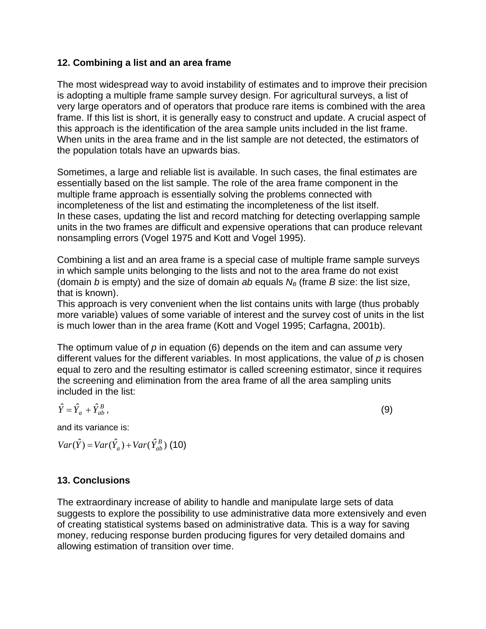#### **12. Combining a list and an area frame**

The most widespread way to avoid instability of estimates and to improve their precision is adopting a multiple frame sample survey design. For agricultural surveys, a list of very large operators and of operators that produce rare items is combined with the area frame. If this list is short, it is generally easy to construct and update. A crucial aspect of this approach is the identification of the area sample units included in the list frame. When units in the area frame and in the list sample are not detected, the estimators of the population totals have an upwards bias.

Sometimes, a large and reliable list is available. In such cases, the final estimates are essentially based on the list sample. The role of the area frame component in the multiple frame approach is essentially solving the problems connected with incompleteness of the list and estimating the incompleteness of the list itself. In these cases, updating the list and record matching for detecting overlapping sample units in the two frames are difficult and expensive operations that can produce relevant nonsampling errors (Vogel 1975 and Kott and Vogel 1995).

Combining a list and an area frame is a special case of multiple frame sample surveys in which sample units belonging to the lists and not to the area frame do not exist (domain *b* is empty) and the size of domain *ab* equals  $N_B$  (frame *B* size: the list size, that is known).

This approach is very convenient when the list contains units with large (thus probably more variable) values of some variable of interest and the survey cost of units in the list is much lower than in the area frame (Kott and Vogel 1995; Carfagna, 2001b).

The optimum value of *p* in equation (6) depends on the item and can assume very different values for the different variables. In most applications, the value of *p* is chosen equal to zero and the resulting estimator is called screening estimator, since it requires the screening and elimination from the area frame of all the area sampling units included in the list:

$$
\hat{Y} = \hat{Y}_a + \hat{Y}_{ab}^B,
$$
\n(9)

and its variance is:

 $Var(\hat{Y}) = Var(\hat{Y}_a) + Var(\hat{Y}_{ab}^B)$  (10)

# **13. Conclusions**

The extraordinary increase of ability to handle and manipulate large sets of data suggests to explore the possibility to use administrative data more extensively and even of creating statistical systems based on administrative data. This is a way for saving money, reducing response burden producing figures for very detailed domains and allowing estimation of transition over time.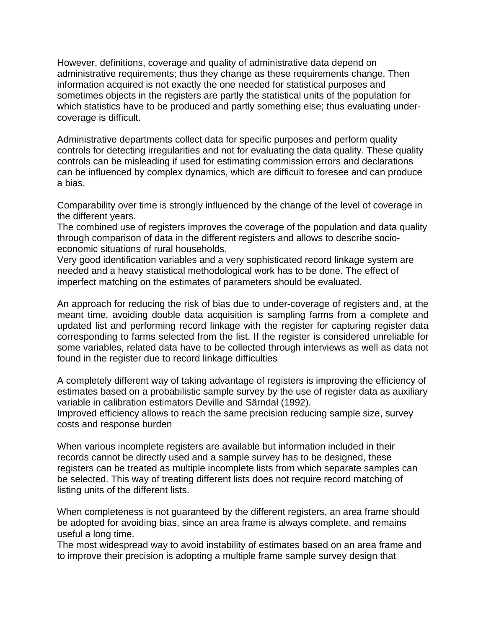However, definitions, coverage and quality of administrative data depend on administrative requirements; thus they change as these requirements change. Then information acquired is not exactly the one needed for statistical purposes and sometimes objects in the registers are partly the statistical units of the population for which statistics have to be produced and partly something else; thus evaluating undercoverage is difficult.

Administrative departments collect data for specific purposes and perform quality controls for detecting irregularities and not for evaluating the data quality. These quality controls can be misleading if used for estimating commission errors and declarations can be influenced by complex dynamics, which are difficult to foresee and can produce a bias.

Comparability over time is strongly influenced by the change of the level of coverage in the different years.

The combined use of registers improves the coverage of the population and data quality through comparison of data in the different registers and allows to describe socioeconomic situations of rural households.

Very good identification variables and a very sophisticated record linkage system are needed and a heavy statistical methodological work has to be done. The effect of imperfect matching on the estimates of parameters should be evaluated.

An approach for reducing the risk of bias due to under-coverage of registers and, at the meant time, avoiding double data acquisition is sampling farms from a complete and updated list and performing record linkage with the register for capturing register data corresponding to farms selected from the list. If the register is considered unreliable for some variables, related data have to be collected through interviews as well as data not found in the register due to record linkage difficulties

A completely different way of taking advantage of registers is improving the efficiency of estimates based on a probabilistic sample survey by the use of register data as auxiliary variable in calibration estimators Deville and Särndal (1992).

Improved efficiency allows to reach the same precision reducing sample size, survey costs and response burden

When various incomplete registers are available but information included in their records cannot be directly used and a sample survey has to be designed, these registers can be treated as multiple incomplete lists from which separate samples can be selected. This way of treating different lists does not require record matching of listing units of the different lists.

When completeness is not guaranteed by the different registers, an area frame should be adopted for avoiding bias, since an area frame is always complete, and remains useful a long time.

The most widespread way to avoid instability of estimates based on an area frame and to improve their precision is adopting a multiple frame sample survey design that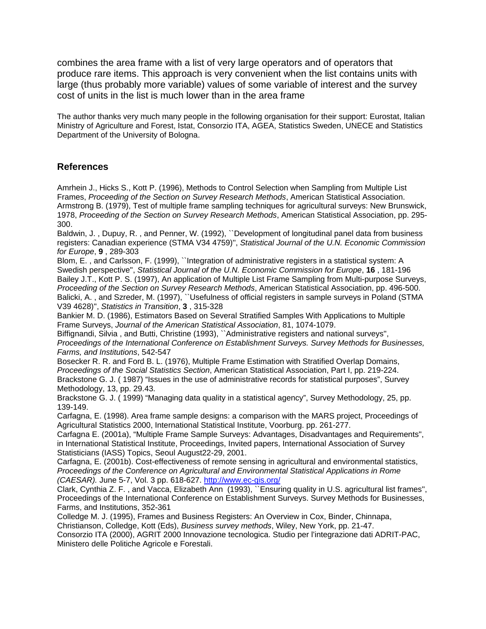combines the area frame with a list of very large operators and of operators that produce rare items. This approach is very convenient when the list contains units with large (thus probably more variable) values of some variable of interest and the survey cost of units in the list is much lower than in the area frame

The author thanks very much many people in the following organisation for their support: Eurostat, Italian Ministry of Agriculture and Forest, Istat, Consorzio ITA, AGEA, Statistics Sweden, UNECE and Statistics Department of the University of Bologna.

#### **References**

Amrhein J., Hicks S., Kott P. (1996), Methods to Control Selection when Sampling from Multiple List Frames, *Proceeding of the Section on Survey Research Methods*, American Statistical Association. Armstrong B. (1979), Test of multiple frame sampling techniques for agricultural surveys: New Brunswick, 1978, *Proceeding of the Section on Survey Research Methods*, American Statistical Association, pp. 295- 300.

Baldwin, J. , Dupuy, R. , and Penner, W. (1992), ``Development of longitudinal panel data from business registers: Canadian experience (STMA V34 4759)'', *Statistical Journal of the U.N. Economic Commission for Europe*, **9** , 289-303

Blom, E. , and Carlsson, F. (1999), ``Integration of administrative registers in a statistical system: A Swedish perspective'', *Statistical Journal of the U.N. Economic Commission for Europe*, **16** , 181-196 Bailey J.T., Kott P. S. (1997), An application of Multiple List Frame Sampling from Multi-purpose Surveys, *Proceeding of the Section on Survey Research Methods*, American Statistical Association, pp. 496-500. Balicki, A., and Szreder, M. (1997), ``Usefulness of official registers in sample surveys in Poland (STMA V39 4628)'', *Statistics in Transition*, **3** , 315-328

Bankier M. D. (1986), Estimators Based on Several Stratified Samples With Applications to Multiple Frame Surveys, *Journal of the American Statistical Association*, 81, 1074-1079.

Biffignandi, Silvia, and Butti, Christine (1993), "Administrative registers and national surveys", *Proceedings of the International Conference on Establishment Surveys. Survey Methods for Businesses, Farms, and Institutions*, 542-547

Bosecker R. R. and Ford B. L. (1976), Multiple Frame Estimation with Stratified Overlap Domains, *Proceedings of the Social Statistics Section*, American Statistical Association, Part I, pp. 219-224. Brackstone G. J. ( 1987) "Issues in the use of administrative records for statistical purposes", Survey Methodology, 13, pp. 29.43.

Brackstone G. J. ( 1999) "Managing data quality in a statistical agency", Survey Methodology, 25, pp. 139-149.

Carfagna, E. (1998). Area frame sample designs: a comparison with the MARS project, Proceedings of Agricultural Statistics 2000, International Statistical Institute, Voorburg. pp. 261-277.

Carfagna E. (2001a), "Multiple Frame Sample Surveys: Advantages, Disadvantages and Requirements", in International Statistical Institute, Proceedings, Invited papers, International Association of Survey Statisticians (IASS) Topics, Seoul August22-29, 2001.

Carfagna, E. (2001b). Cost-effectiveness of remote sensing in agricultural and environmental statistics, *Proceedings of the Conference on Agricultural and Environmental Statistical Applications in Rome (CAESAR).* June 5-7, Vol. 3 pp. 618-627. http://www.ec-gis.org/

Clark, Cynthia Z. F. , and Vacca, Elizabeth Ann (1993), ``Ensuring quality in U.S. agricultural list frames'', Proceedings of the International Conference on Establishment Surveys. Survey Methods for Businesses, Farms, and Institutions, 352-361

Colledge M. J. (1995), Frames and Business Registers: An Overview in Cox, Binder, Chinnapa, Christianson, Colledge, Kott (Eds), *Business survey methods*, Wiley, New York, pp. 21-47.

Consorzio ITA (2000), AGRIT 2000 Innovazione tecnologica. Studio per l'integrazione dati ADRIT-PAC, Ministero delle Politiche Agricole e Forestali.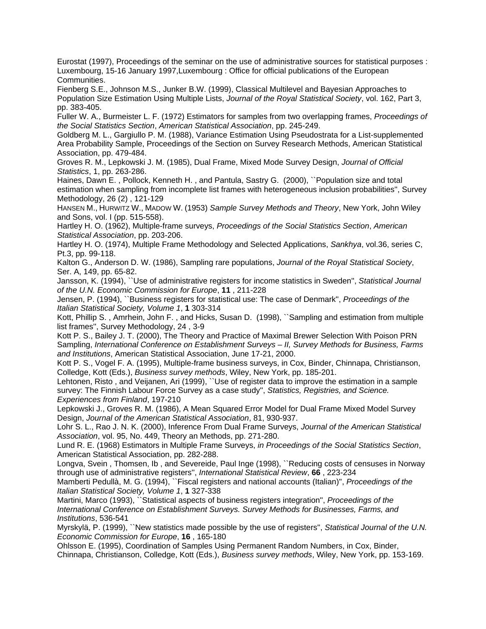Eurostat (1997), Proceedings of the seminar on the use of administrative sources for statistical purposes : Luxembourg, 15-16 January 1997,Luxembourg : Office for official publications of the European Communities.

Fienberg S.E., Johnson M.S., Junker B.W. (1999), Classical Multilevel and Bayesian Approaches to Population Size Estimation Using Multiple Lists, *Journal of the Royal Statistical Society*, vol. 162, Part 3, pp. 383-405.

Fuller W. A., Burmeister L. F. (1972) Estimators for samples from two overlapping frames, *Proceedings of the Social Statistics Section*, *American Statistical Association*, pp. 245-249.

Goldberg M. L., Gargiullo P. M. (1988), Variance Estimation Using Pseudostrata for a List-supplemented Area Probability Sample, Proceedings of the Section on Survey Research Methods, American Statistical Association, pp. 479-484.

Groves R. M., Lepkowski J. M. (1985), Dual Frame, Mixed Mode Survey Design, *Journal of Official Statistics*, 1, pp. 263-286.

Haines, Dawn E. , Pollock, Kenneth H. , and Pantula, Sastry G. (2000), ``Population size and total estimation when sampling from incomplete list frames with heterogeneous inclusion probabilities'', Survey Methodology, 26 (2) , 121-129

HANSEN M., HURWITZ W., MADOW W. (1953) *Sample Survey Methods and Theory*, New York, John Wiley and Sons, vol. I (pp. 515-558).

Hartley H. O. (1962), Multiple-frame surveys, *Proceedings of the Social Statistics Section*, *American Statistical Association*, pp. 203-206.

Hartley H. O. (1974), Multiple Frame Methodology and Selected Applications, *Sankhya*, vol.36, series C, Pt.3, pp. 99-118.

Kalton G., Anderson D. W. (1986), Sampling rare populations, *Journal of the Royal Statistical Society*, Ser. A, 149, pp. 65-82.

Jansson, K. (1994), ``Use of administrative registers for income statistics in Sweden'', *Statistical Journal of the U.N. Economic Commission for Europe*, **11** , 211-228

Jensen, P. (1994), ``Business registers for statistical use: The case of Denmark'', *Proceedings of the Italian Statistical Society, Volume 1*, **1** 303-314

Kott, Phillip S. , Amrhein, John F. , and Hicks, Susan D. (1998), ``Sampling and estimation from multiple list frames'', Survey Methodology, 24 , 3-9

Kott P. S., Bailey J. T. (2000), The Theory and Practice of Maximal Brewer Selection With Poison PRN Sampling, *International Conference on Establishment Surveys – II, Survey Methods for Business, Farms and Institutions*, American Statistical Association, June 17-21, 2000.

Kott P. S., Vogel F. A. (1995), Multiple-frame business surveys, in Cox, Binder, Chinnapa, Christianson, Colledge, Kott (Eds.), *Business survey methods*, Wiley, New York, pp. 185-201.

Lehtonen, Risto , and Veijanen, Ari (1999), ``Use of register data to improve the estimation in a sample survey: The Finnish Labour Force Survey as a case study'', *Statistics, Registries, and Science. Experiences from Finland*, 197-210

Lepkowski J., Groves R. M. (1986), A Mean Squared Error Model for Dual Frame Mixed Model Survey Design, *Journal of the American Statistical Association*, 81, 930-937.

Lohr S. L., Rao J. N. K. (2000), Inference From Dual Frame Surveys, *Journal of the American Statistical Association*, vol. 95, No. 449, Theory an Methods, pp. 271-280.

Lund R. E. (1968) Estimators in Multiple Frame Surveys, *in Proceedings of the Social Statistics Section*, American Statistical Association, pp. 282-288.

Longva, Svein , Thomsen, Ib , and Severeide, Paul Inge (1998), ``Reducing costs of censuses in Norway through use of administrative registers'', *International Statistical Review*, **66** , 223-234

Mamberti Pedullà, M. G. (1994), ``Fiscal registers and national accounts (Italian)'', *Proceedings of the Italian Statistical Society, Volume 1*, **1** 327-338

Martini, Marco (1993), ``Statistical aspects of business registers integration'', *Proceedings of the International Conference on Establishment Surveys. Survey Methods for Businesses, Farms, and Institutions*, 536-541

Myrskylä, P. (1999), ``New statistics made possible by the use of registers'', *Statistical Journal of the U.N. Economic Commission for Europe*, **16** , 165-180

Ohlsson E. (1995), Coordination of Samples Using Permanent Random Numbers, in Cox, Binder, Chinnapa, Christianson, Colledge, Kott (Eds.), *Business survey methods*, Wiley, New York, pp. 153-169.